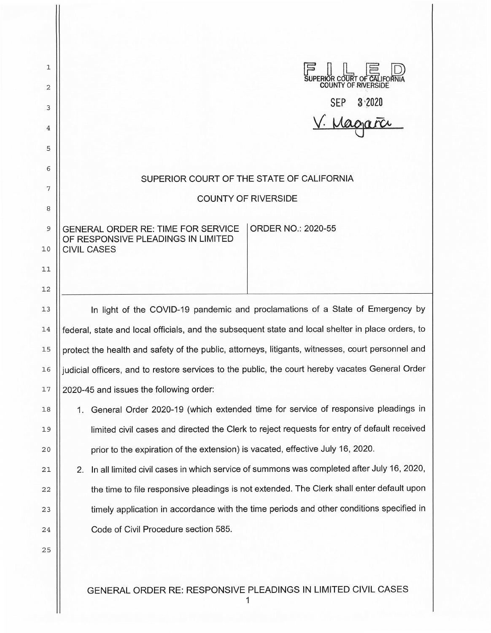| 1  |                                                                                                    |
|----|----------------------------------------------------------------------------------------------------|
| 2  | SUPERIOR COURT OF CAL<br><b>COUNTY OF RIVERSIDE</b>                                                |
| 3  | SEP 3:2020                                                                                         |
| 4  |                                                                                                    |
| 5  |                                                                                                    |
| 6  |                                                                                                    |
| 7  | SUPERIOR COURT OF THE STATE OF CALIFORNIA                                                          |
| 8  | <b>COUNTY OF RIVERSIDE</b>                                                                         |
| 9  | GENERAL ORDER RE: TIME FOR SERVICE<br><b>ORDER NO.: 2020-55</b>                                    |
| 10 | OF RESPONSIVE PLEADINGS IN LIMITED<br><b>CIVIL CASES</b>                                           |
| 11 |                                                                                                    |
| 12 |                                                                                                    |
| 13 | In light of the COVID-19 pandemic and proclamations of a State of Emergency by                     |
| 14 | federal, state and local officials, and the subsequent state and local shelter in place orders, to |
| 15 | protect the health and safety of the public, attorneys, litigants, witnesses, court personnel and  |
| 16 | judicial officers, and to restore services to the public, the court hereby vacates General Order   |
| 17 | 2020-45 and issues the following order:                                                            |
| 18 | General Order 2020-19 (which extended time for service of responsive pleadings in<br>1.            |
| 19 | limited civil cases and directed the Clerk to reject requests for entry of default received        |
| 20 | prior to the expiration of the extension) is vacated, effective July 16, 2020.                     |
| 21 | In all limited civil cases in which service of summons was completed after July 16, 2020,<br>2.    |
| 22 | the time to file responsive pleadings is not extended. The Clerk shall enter default upon          |
| 23 | timely application in accordance with the time periods and other conditions specified in           |
| 24 | Code of Civil Procedure section 585.                                                               |
| 25 |                                                                                                    |
|    |                                                                                                    |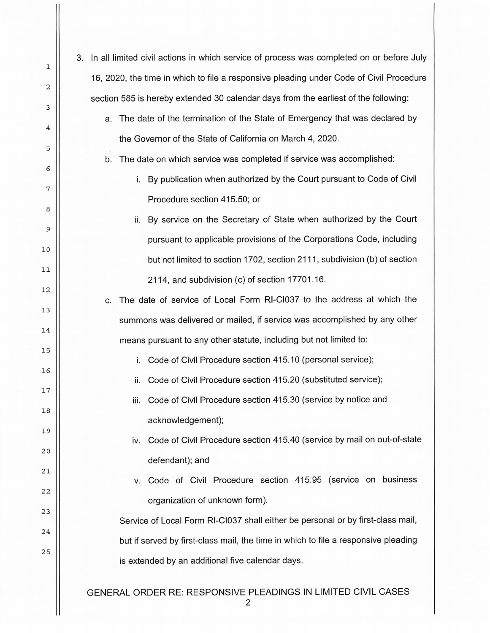| 3. | In all limited civil actions in which service of process was completed on or before July |
|----|------------------------------------------------------------------------------------------|
|    | 16, 2020, the time in which to file a responsive pleading under Code of Civil Procedure  |
|    | section 585 is hereby extended 30 calendar days from the earliest of the following:      |
|    | The date of the termination of the State of Emergency that was declared by<br>a.         |
|    | the Governor of the State of California on March 4, 2020.                                |
|    | The date on which service was completed if service was accomplished:<br>b.               |
|    | By publication when authorized by the Court pursuant to Code of Civil<br>i.              |
|    | Procedure section 415.50; or                                                             |
|    | By service on the Secretary of State when authorized by the Court<br>ii.                 |
|    | pursuant to applicable provisions of the Corporations Code, including                    |
|    | but not limited to section 1702, section 2111, subdivision (b) of section                |
|    | 2114, and subdivision (c) of section 17701.16.                                           |
|    | The date of service of Local Form RI-CI037 to the address at which the<br>C.             |
|    | summons was delivered or mailed, if service was accomplished by any other                |
|    | means pursuant to any other statute, including but not limited to:                       |
|    | Code of Civil Procedure section 415.10 (personal service);<br>i.                         |
|    | Code of Civil Procedure section 415.20 (substituted service);<br>ii.                     |
|    | iii. Code of Civil Procedure section 415.30 (service by notice and                       |
|    | acknowledgement);                                                                        |
|    | Code of Civil Procedure section 415.40 (service by mail on out-of-state<br>iv.           |
|    | defendant); and                                                                          |
|    | Code of Civil Procedure section 415.95 (service on business<br>V.                        |
|    | organization of unknown form).                                                           |
|    | Service of Local Form RI-CI037 shall either be personal or by first-class mail,          |
|    | but if served by first-class mail, the time in which to file a responsive pleading       |
|    | is extended by an additional five calendar days.                                         |
|    | GENERAL ORDER RE: RESPONSIVE PLEADINGS IN LIMITED CIVIL CASES                            |

2

 $\mathbb{I}$